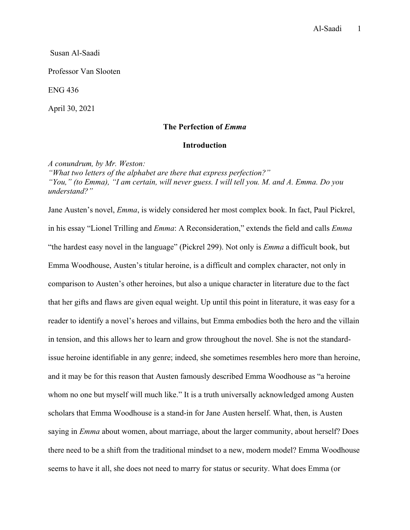Susan Al-Saadi

Professor Van Slooten

ENG 436

April 30, 2021

# **The Perfection of** *Emma*

## **Introduction**

*A conundrum, by Mr. Weston:*

*"What two letters of the alphabet are there that express perfection?" "You," (to Emma), "I am certain, will never guess. I will tell you. M. and A. Emma. Do you understand?"*

Jane Austen's novel, *Emma*, is widely considered her most complex book. In fact, Paul Pickrel, in his essay "Lionel Trilling and *Emma*: A Reconsideration," extends the field and calls *Emma* "the hardest easy novel in the language" (Pickrel 299). Not only is *Emma* a difficult book, but Emma Woodhouse, Austen's titular heroine, is a difficult and complex character, not only in comparison to Austen's other heroines, but also a unique character in literature due to the fact that her gifts and flaws are given equal weight. Up until this point in literature, it was easy for a reader to identify a novel's heroes and villains, but Emma embodies both the hero and the villain in tension, and this allows her to learn and grow throughout the novel. She is not the standardissue heroine identifiable in any genre; indeed, she sometimes resembles hero more than heroine, and it may be for this reason that Austen famously described Emma Woodhouse as "a heroine whom no one but myself will much like." It is a truth universally acknowledged among Austen scholars that Emma Woodhouse is a stand-in for Jane Austen herself. What, then, is Austen saying in *Emma* about women, about marriage, about the larger community, about herself? Does there need to be a shift from the traditional mindset to a new, modern model? Emma Woodhouse seems to have it all, she does not need to marry for status or security. What does Emma (or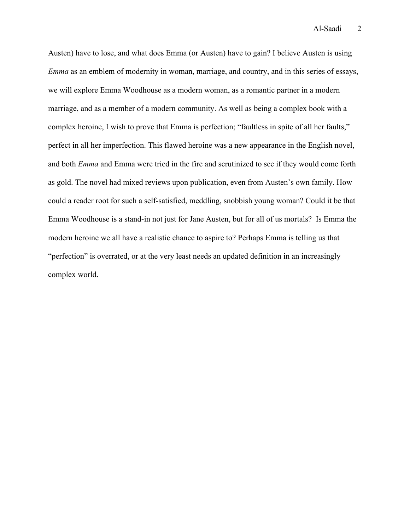Austen) have to lose, and what does Emma (or Austen) have to gain? I believe Austen is using *Emma* as an emblem of modernity in woman, marriage, and country, and in this series of essays, we will explore Emma Woodhouse as a modern woman, as a romantic partner in a modern marriage, and as a member of a modern community. As well as being a complex book with a complex heroine, I wish to prove that Emma is perfection; "faultless in spite of all her faults," perfect in all her imperfection. This flawed heroine was a new appearance in the English novel, and both *Emma* and Emma were tried in the fire and scrutinized to see if they would come forth as gold. The novel had mixed reviews upon publication, even from Austen's own family. How could a reader root for such a self-satisfied, meddling, snobbish young woman? Could it be that Emma Woodhouse is a stand-in not just for Jane Austen, but for all of us mortals? Is Emma the modern heroine we all have a realistic chance to aspire to? Perhaps Emma is telling us that "perfection" is overrated, or at the very least needs an updated definition in an increasingly complex world.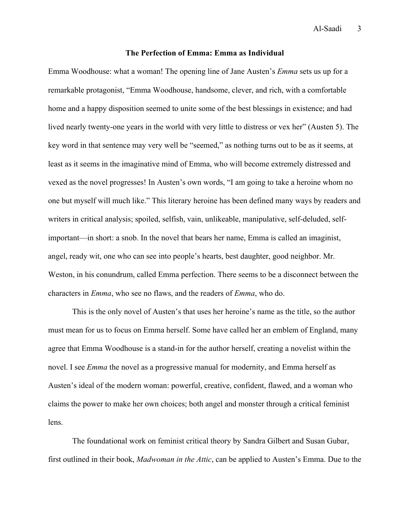### **The Perfection of Emma: Emma as Individual**

Emma Woodhouse: what a woman! The opening line of Jane Austen's *Emma* sets us up for a remarkable protagonist, "Emma Woodhouse, handsome, clever, and rich, with a comfortable home and a happy disposition seemed to unite some of the best blessings in existence; and had lived nearly twenty-one years in the world with very little to distress or vex her" (Austen 5). The key word in that sentence may very well be "seemed," as nothing turns out to be as it seems, at least as it seems in the imaginative mind of Emma, who will become extremely distressed and vexed as the novel progresses! In Austen's own words, "I am going to take a heroine whom no one but myself will much like." This literary heroine has been defined many ways by readers and writers in critical analysis; spoiled, selfish, vain, unlikeable, manipulative, self-deluded, selfimportant—in short: a snob. In the novel that bears her name, Emma is called an imaginist, angel, ready wit, one who can see into people's hearts, best daughter, good neighbor. Mr. Weston, in his conundrum, called Emma perfection. There seems to be a disconnect between the characters in *Emma*, who see no flaws, and the readers of *Emma*, who do.

This is the only novel of Austen's that uses her heroine's name as the title, so the author must mean for us to focus on Emma herself. Some have called her an emblem of England, many agree that Emma Woodhouse is a stand-in for the author herself, creating a novelist within the novel. I see *Emma* the novel as a progressive manual for modernity, and Emma herself as Austen's ideal of the modern woman: powerful, creative, confident, flawed, and a woman who claims the power to make her own choices; both angel and monster through a critical feminist lens.

The foundational work on feminist critical theory by Sandra Gilbert and Susan Gubar, first outlined in their book, *Madwoman in the Attic*, can be applied to Austen's Emma. Due to the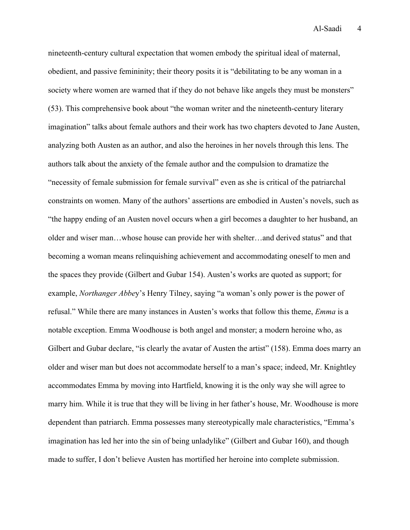nineteenth-century cultural expectation that women embody the spiritual ideal of maternal, obedient, and passive femininity; their theory posits it is "debilitating to be any woman in a society where women are warned that if they do not behave like angels they must be monsters" (53). This comprehensive book about "the woman writer and the nineteenth-century literary imagination" talks about female authors and their work has two chapters devoted to Jane Austen, analyzing both Austen as an author, and also the heroines in her novels through this lens. The authors talk about the anxiety of the female author and the compulsion to dramatize the "necessity of female submission for female survival" even as she is critical of the patriarchal constraints on women. Many of the authors' assertions are embodied in Austen's novels, such as "the happy ending of an Austen novel occurs when a girl becomes a daughter to her husband, an older and wiser man…whose house can provide her with shelter…and derived status" and that becoming a woman means relinquishing achievement and accommodating oneself to men and the spaces they provide (Gilbert and Gubar 154). Austen's works are quoted as support; for example, *Northanger Abbe*y's Henry Tilney, saying "a woman's only power is the power of refusal." While there are many instances in Austen's works that follow this theme, *Emma* is a notable exception. Emma Woodhouse is both angel and monster; a modern heroine who, as Gilbert and Gubar declare, "is clearly the avatar of Austen the artist" (158). Emma does marry an older and wiser man but does not accommodate herself to a man's space; indeed, Mr. Knightley accommodates Emma by moving into Hartfield, knowing it is the only way she will agree to marry him. While it is true that they will be living in her father's house, Mr. Woodhouse is more dependent than patriarch. Emma possesses many stereotypically male characteristics, "Emma's imagination has led her into the sin of being unladylike" (Gilbert and Gubar 160), and though made to suffer, I don't believe Austen has mortified her heroine into complete submission.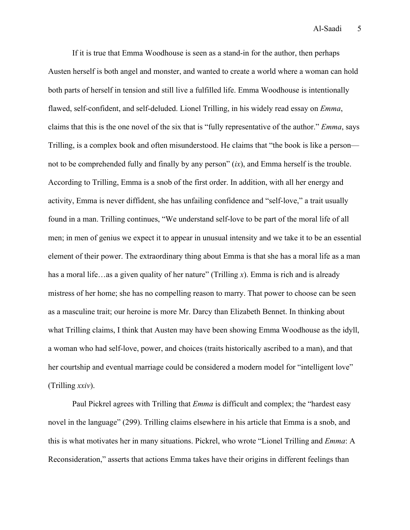If it is true that Emma Woodhouse is seen as a stand-in for the author, then perhaps Austen herself is both angel and monster, and wanted to create a world where a woman can hold both parts of herself in tension and still live a fulfilled life. Emma Woodhouse is intentionally flawed, self-confident, and self-deluded. Lionel Trilling, in his widely read essay on *Emma*, claims that this is the one novel of the six that is "fully representative of the author." *Emma*, says Trilling, is a complex book and often misunderstood. He claims that "the book is like a person not to be comprehended fully and finally by any person"  $(ix)$ , and Emma herself is the trouble. According to Trilling, Emma is a snob of the first order. In addition, with all her energy and activity, Emma is never diffident, she has unfailing confidence and "self-love," a trait usually found in a man. Trilling continues, "We understand self-love to be part of the moral life of all men; in men of genius we expect it to appear in unusual intensity and we take it to be an essential element of their power. The extraordinary thing about Emma is that she has a moral life as a man has a moral life...as a given quality of her nature" (Trilling x). Emma is rich and is already mistress of her home; she has no compelling reason to marry. That power to choose can be seen as a masculine trait; our heroine is more Mr. Darcy than Elizabeth Bennet. In thinking about what Trilling claims, I think that Austen may have been showing Emma Woodhouse as the idyll, a woman who had self-love, power, and choices (traits historically ascribed to a man), and that her courtship and eventual marriage could be considered a modern model for "intelligent love" (Trilling *xxiv*).

Paul Pickrel agrees with Trilling that *Emma* is difficult and complex; the "hardest easy novel in the language" (299). Trilling claims elsewhere in his article that Emma is a snob, and this is what motivates her in many situations. Pickrel, who wrote "Lionel Trilling and *Emma*: A Reconsideration," asserts that actions Emma takes have their origins in different feelings than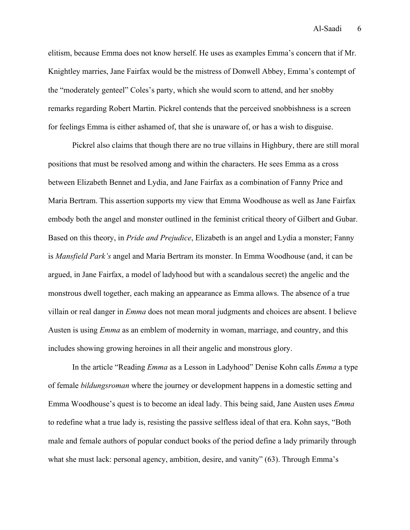elitism, because Emma does not know herself. He uses as examples Emma's concern that if Mr. Knightley marries, Jane Fairfax would be the mistress of Donwell Abbey, Emma's contempt of the "moderately genteel" Coles's party, which she would scorn to attend, and her snobby remarks regarding Robert Martin. Pickrel contends that the perceived snobbishness is a screen for feelings Emma is either ashamed of, that she is unaware of, or has a wish to disguise.

Pickrel also claims that though there are no true villains in Highbury, there are still moral positions that must be resolved among and within the characters. He sees Emma as a cross between Elizabeth Bennet and Lydia, and Jane Fairfax as a combination of Fanny Price and Maria Bertram. This assertion supports my view that Emma Woodhouse as well as Jane Fairfax embody both the angel and monster outlined in the feminist critical theory of Gilbert and Gubar. Based on this theory, in *Pride and Prejudice*, Elizabeth is an angel and Lydia a monster; Fanny is *Mansfield Park's* angel and Maria Bertram its monster. In Emma Woodhouse (and, it can be argued, in Jane Fairfax, a model of ladyhood but with a scandalous secret) the angelic and the monstrous dwell together, each making an appearance as Emma allows. The absence of a true villain or real danger in *Emma* does not mean moral judgments and choices are absent. I believe Austen is using *Emma* as an emblem of modernity in woman, marriage, and country, and this includes showing growing heroines in all their angelic and monstrous glory.

In the article "Reading *Emma* as a Lesson in Ladyhood" Denise Kohn calls *Emma* a type of female *bildungsroman* where the journey or development happens in a domestic setting and Emma Woodhouse's quest is to become an ideal lady. This being said, Jane Austen uses *Emma* to redefine what a true lady is, resisting the passive selfless ideal of that era. Kohn says, "Both male and female authors of popular conduct books of the period define a lady primarily through what she must lack: personal agency, ambition, desire, and vanity" (63). Through Emma's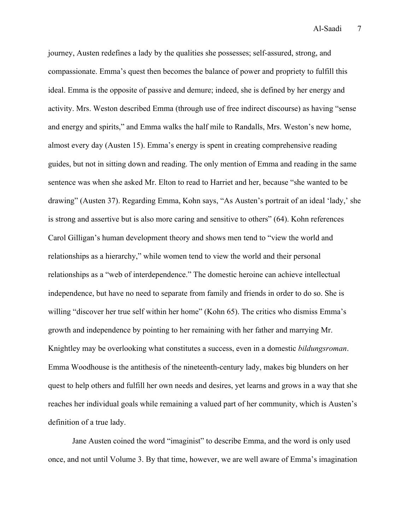journey, Austen redefines a lady by the qualities she possesses; self-assured, strong, and compassionate. Emma's quest then becomes the balance of power and propriety to fulfill this ideal. Emma is the opposite of passive and demure; indeed, she is defined by her energy and activity. Mrs. Weston described Emma (through use of free indirect discourse) as having "sense and energy and spirits," and Emma walks the half mile to Randalls, Mrs. Weston's new home, almost every day (Austen 15). Emma's energy is spent in creating comprehensive reading guides, but not in sitting down and reading. The only mention of Emma and reading in the same sentence was when she asked Mr. Elton to read to Harriet and her, because "she wanted to be drawing" (Austen 37). Regarding Emma, Kohn says, "As Austen's portrait of an ideal 'lady,' she is strong and assertive but is also more caring and sensitive to others" (64). Kohn references Carol Gilligan's human development theory and shows men tend to "view the world and relationships as a hierarchy," while women tend to view the world and their personal relationships as a "web of interdependence." The domestic heroine can achieve intellectual independence, but have no need to separate from family and friends in order to do so. She is willing "discover her true self within her home" (Kohn 65). The critics who dismiss Emma's growth and independence by pointing to her remaining with her father and marrying Mr. Knightley may be overlooking what constitutes a success, even in a domestic *bildungsroman*. Emma Woodhouse is the antithesis of the nineteenth-century lady, makes big blunders on her quest to help others and fulfill her own needs and desires, yet learns and grows in a way that she reaches her individual goals while remaining a valued part of her community, which is Austen's definition of a true lady.

Jane Austen coined the word "imaginist" to describe Emma, and the word is only used once, and not until Volume 3. By that time, however, we are well aware of Emma's imagination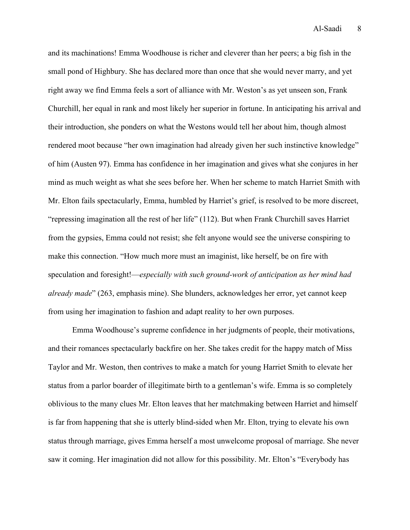and its machinations! Emma Woodhouse is richer and cleverer than her peers; a big fish in the small pond of Highbury. She has declared more than once that she would never marry, and yet right away we find Emma feels a sort of alliance with Mr. Weston's as yet unseen son, Frank Churchill, her equal in rank and most likely her superior in fortune. In anticipating his arrival and their introduction, she ponders on what the Westons would tell her about him, though almost rendered moot because "her own imagination had already given her such instinctive knowledge" of him (Austen 97). Emma has confidence in her imagination and gives what she conjures in her mind as much weight as what she sees before her. When her scheme to match Harriet Smith with Mr. Elton fails spectacularly, Emma, humbled by Harriet's grief, is resolved to be more discreet, "repressing imagination all the rest of her life" (112). But when Frank Churchill saves Harriet from the gypsies, Emma could not resist; she felt anyone would see the universe conspiring to make this connection. "How much more must an imaginist, like herself, be on fire with speculation and foresight!—*especially with such ground-work of anticipation as her mind had already made*" (263, emphasis mine). She blunders, acknowledges her error, yet cannot keep from using her imagination to fashion and adapt reality to her own purposes.

Emma Woodhouse's supreme confidence in her judgments of people, their motivations, and their romances spectacularly backfire on her. She takes credit for the happy match of Miss Taylor and Mr. Weston, then contrives to make a match for young Harriet Smith to elevate her status from a parlor boarder of illegitimate birth to a gentleman's wife. Emma is so completely oblivious to the many clues Mr. Elton leaves that her matchmaking between Harriet and himself is far from happening that she is utterly blind-sided when Mr. Elton, trying to elevate his own status through marriage, gives Emma herself a most unwelcome proposal of marriage. She never saw it coming. Her imagination did not allow for this possibility. Mr. Elton's "Everybody has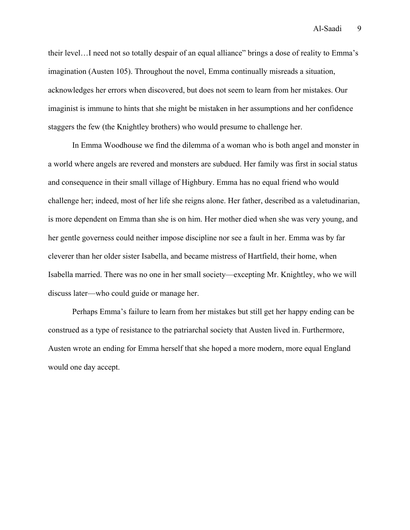their level…I need not so totally despair of an equal alliance" brings a dose of reality to Emma's imagination (Austen 105). Throughout the novel, Emma continually misreads a situation, acknowledges her errors when discovered, but does not seem to learn from her mistakes. Our imaginist is immune to hints that she might be mistaken in her assumptions and her confidence staggers the few (the Knightley brothers) who would presume to challenge her.

In Emma Woodhouse we find the dilemma of a woman who is both angel and monster in a world where angels are revered and monsters are subdued. Her family was first in social status and consequence in their small village of Highbury. Emma has no equal friend who would challenge her; indeed, most of her life she reigns alone. Her father, described as a valetudinarian, is more dependent on Emma than she is on him. Her mother died when she was very young, and her gentle governess could neither impose discipline nor see a fault in her. Emma was by far cleverer than her older sister Isabella, and became mistress of Hartfield, their home, when Isabella married. There was no one in her small society—excepting Mr. Knightley, who we will discuss later—who could guide or manage her.

Perhaps Emma's failure to learn from her mistakes but still get her happy ending can be construed as a type of resistance to the patriarchal society that Austen lived in. Furthermore, Austen wrote an ending for Emma herself that she hoped a more modern, more equal England would one day accept.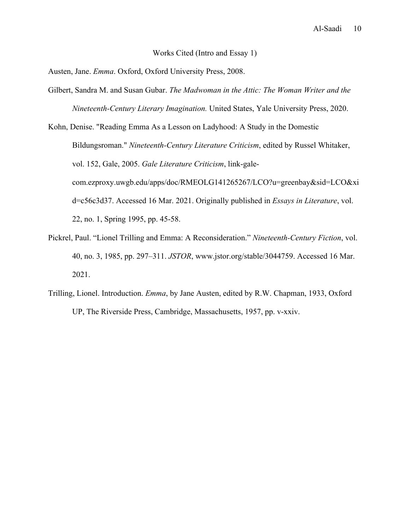### Works Cited (Intro and Essay 1)

Austen, Jane. *Emma*. Oxford, Oxford University Press, 2008.

- Gilbert, Sandra M. and Susan Gubar. *The Madwoman in the Attic: The Woman Writer and the Nineteenth-Century Literary Imagination.* United States, Yale University Press, 2020.
- Kohn, Denise. "Reading Emma As a Lesson on Ladyhood: A Study in the Domestic Bildungsroman." *Nineteenth-Century Literature Criticism*, edited by Russel Whitaker, vol. 152, Gale, 2005. *Gale Literature Criticism*, link-galecom.ezproxy.uwgb.edu/apps/doc/RMEOLG141265267/LCO?u=greenbay&sid=LCO&xi d=c56c3d37. Accessed 16 Mar. 2021. Originally published in *Essays in Literature*, vol. 22, no. 1, Spring 1995, pp. 45-58.
- Pickrel, Paul. "Lionel Trilling and Emma: A Reconsideration." *Nineteenth-Century Fiction*, vol. 40, no. 3, 1985, pp. 297–311. *JSTOR*, www.jstor.org/stable/3044759. Accessed 16 Mar. 2021.
- Trilling, Lionel. Introduction. *Emma*, by Jane Austen, edited by R.W. Chapman, 1933, Oxford UP, The Riverside Press, Cambridge, Massachusetts, 1957, pp. v-xxiv.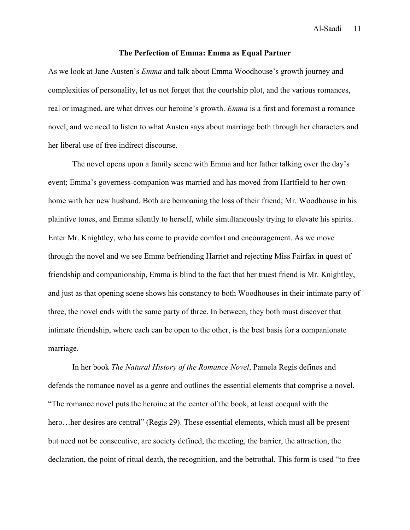#### **The Perfection of Emma: Emma as Equal Partner**

As we look at Jane Austen's *Emma* and talk about Emma Woodhouse's growth journey and complexities of personality, let us not forget that the courtship plot, and the various romances, real or imagined, are what drives our heroine's growth. *Emma* is a first and foremost a romance novel, and we need to listen to what Austen says about marriage both through her characters and her liberal use of free indirect discourse.

The novel opens upon a family scene with Emma and her father talking over the day's event; Emma's governess-companion was married and has moved from Hartfield to her own home with her new husband. Both are bemoaning the loss of their friend; Mr. Woodhouse in his plaintive tones, and Emma silently to herself, while simultaneously trying to elevate his spirits. Enter Mr. Knightley, who has come to provide comfort and encouragement. As we move through the novel and we see Emma befriending Harriet and rejecting Miss Fairfax in quest of friendship and companionship, Emma is blind to the fact that her truest friend is Mr. Knightley, and just as that opening scene shows his constancy to both Woodhouses in their intimate party of three, the novel ends with the same party of three. In between, they both must discover that intimate friendship, where each can be open to the other, is the best basis for a companionate marriage.

In her book *The Natural History of the Romance Novel*, Pamela Regis defines and defends the romance novel as a genre and outlines the essential elements that comprise a novel. "The romance novel puts the heroine at the center of the book, at least coequal with the hero…her desires are central" (Regis 29). These essential elements, which must all be present but need not be consecutive, are society defined, the meeting, the barrier, the attraction, the declaration, the point of ritual death, the recognition, and the betrothal. This form is used "to free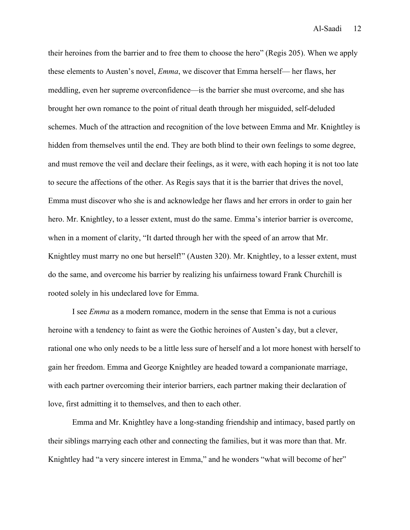their heroines from the barrier and to free them to choose the hero" (Regis 205). When we apply these elements to Austen's novel, *Emma*, we discover that Emma herself— her flaws, her meddling, even her supreme overconfidence—is the barrier she must overcome, and she has brought her own romance to the point of ritual death through her misguided, self-deluded schemes. Much of the attraction and recognition of the love between Emma and Mr. Knightley is hidden from themselves until the end. They are both blind to their own feelings to some degree, and must remove the veil and declare their feelings, as it were, with each hoping it is not too late to secure the affections of the other. As Regis says that it is the barrier that drives the novel, Emma must discover who she is and acknowledge her flaws and her errors in order to gain her hero. Mr. Knightley, to a lesser extent, must do the same. Emma's interior barrier is overcome, when in a moment of clarity, "It darted through her with the speed of an arrow that Mr. Knightley must marry no one but herself!" (Austen 320). Mr. Knightley, to a lesser extent, must do the same, and overcome his barrier by realizing his unfairness toward Frank Churchill is rooted solely in his undeclared love for Emma.

I see *Emma* as a modern romance, modern in the sense that Emma is not a curious heroine with a tendency to faint as were the Gothic heroines of Austen's day, but a clever, rational one who only needs to be a little less sure of herself and a lot more honest with herself to gain her freedom. Emma and George Knightley are headed toward a companionate marriage, with each partner overcoming their interior barriers, each partner making their declaration of love, first admitting it to themselves, and then to each other.

Emma and Mr. Knightley have a long-standing friendship and intimacy, based partly on their siblings marrying each other and connecting the families, but it was more than that. Mr. Knightley had "a very sincere interest in Emma," and he wonders "what will become of her"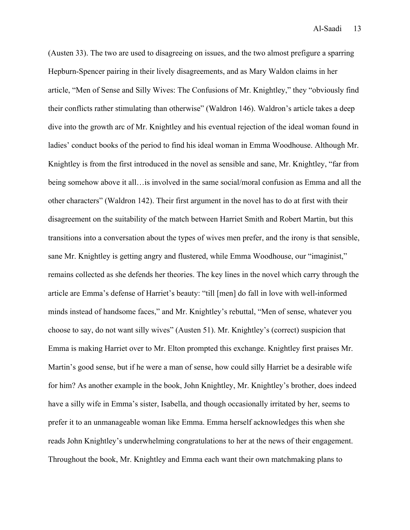(Austen 33). The two are used to disagreeing on issues, and the two almost prefigure a sparring Hepburn-Spencer pairing in their lively disagreements, and as Mary Waldon claims in her article, "Men of Sense and Silly Wives: The Confusions of Mr. Knightley," they "obviously find their conflicts rather stimulating than otherwise" (Waldron 146). Waldron's article takes a deep dive into the growth arc of Mr. Knightley and his eventual rejection of the ideal woman found in ladies' conduct books of the period to find his ideal woman in Emma Woodhouse. Although Mr. Knightley is from the first introduced in the novel as sensible and sane, Mr. Knightley, "far from being somehow above it all…is involved in the same social/moral confusion as Emma and all the other characters" (Waldron 142). Their first argument in the novel has to do at first with their disagreement on the suitability of the match between Harriet Smith and Robert Martin, but this transitions into a conversation about the types of wives men prefer, and the irony is that sensible, sane Mr. Knightley is getting angry and flustered, while Emma Woodhouse, our "imaginist," remains collected as she defends her theories. The key lines in the novel which carry through the article are Emma's defense of Harriet's beauty: "till [men] do fall in love with well-informed minds instead of handsome faces," and Mr. Knightley's rebuttal, "Men of sense, whatever you choose to say, do not want silly wives" (Austen 51). Mr. Knightley's (correct) suspicion that Emma is making Harriet over to Mr. Elton prompted this exchange. Knightley first praises Mr. Martin's good sense, but if he were a man of sense, how could silly Harriet be a desirable wife for him? As another example in the book, John Knightley, Mr. Knightley's brother, does indeed have a silly wife in Emma's sister, Isabella, and though occasionally irritated by her, seems to prefer it to an unmanageable woman like Emma. Emma herself acknowledges this when she reads John Knightley's underwhelming congratulations to her at the news of their engagement. Throughout the book, Mr. Knightley and Emma each want their own matchmaking plans to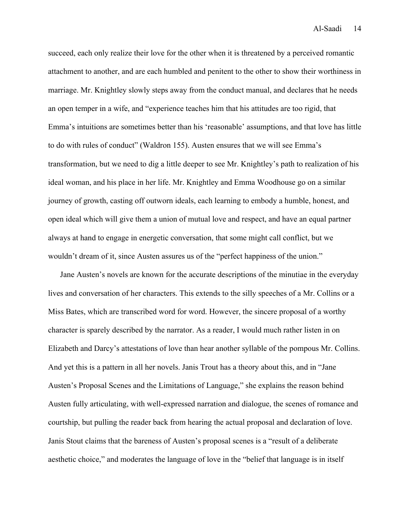succeed, each only realize their love for the other when it is threatened by a perceived romantic attachment to another, and are each humbled and penitent to the other to show their worthiness in marriage. Mr. Knightley slowly steps away from the conduct manual, and declares that he needs an open temper in a wife, and "experience teaches him that his attitudes are too rigid, that Emma's intuitions are sometimes better than his 'reasonable' assumptions, and that love has little to do with rules of conduct" (Waldron 155). Austen ensures that we will see Emma's transformation, but we need to dig a little deeper to see Mr. Knightley's path to realization of his ideal woman, and his place in her life. Mr. Knightley and Emma Woodhouse go on a similar journey of growth, casting off outworn ideals, each learning to embody a humble, honest, and open ideal which will give them a union of mutual love and respect, and have an equal partner always at hand to engage in energetic conversation, that some might call conflict, but we wouldn't dream of it, since Austen assures us of the "perfect happiness of the union."

Jane Austen's novels are known for the accurate descriptions of the minutiae in the everyday lives and conversation of her characters. This extends to the silly speeches of a Mr. Collins or a Miss Bates, which are transcribed word for word. However, the sincere proposal of a worthy character is sparely described by the narrator. As a reader, I would much rather listen in on Elizabeth and Darcy's attestations of love than hear another syllable of the pompous Mr. Collins. And yet this is a pattern in all her novels. Janis Trout has a theory about this, and in "Jane Austen's Proposal Scenes and the Limitations of Language," she explains the reason behind Austen fully articulating, with well-expressed narration and dialogue, the scenes of romance and courtship, but pulling the reader back from hearing the actual proposal and declaration of love. Janis Stout claims that the bareness of Austen's proposal scenes is a "result of a deliberate aesthetic choice," and moderates the language of love in the "belief that language is in itself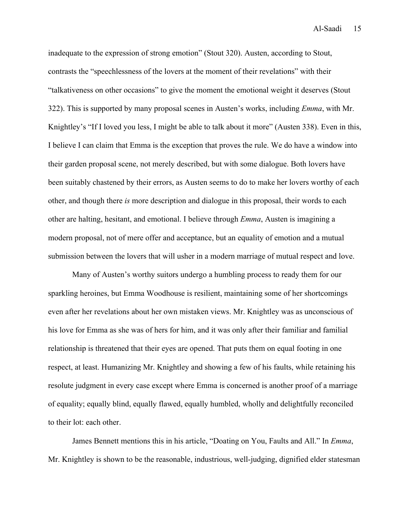inadequate to the expression of strong emotion" (Stout 320). Austen, according to Stout, contrasts the "speechlessness of the lovers at the moment of their revelations" with their "talkativeness on other occasions" to give the moment the emotional weight it deserves (Stout 322). This is supported by many proposal scenes in Austen's works, including *Emma*, with Mr. Knightley's "If I loved you less, I might be able to talk about it more" (Austen 338). Even in this, I believe I can claim that Emma is the exception that proves the rule. We do have a window into their garden proposal scene, not merely described, but with some dialogue. Both lovers have been suitably chastened by their errors, as Austen seems to do to make her lovers worthy of each other, and though there *is* more description and dialogue in this proposal, their words to each other are halting, hesitant, and emotional. I believe through *Emma*, Austen is imagining a modern proposal, not of mere offer and acceptance, but an equality of emotion and a mutual submission between the lovers that will usher in a modern marriage of mutual respect and love.

Many of Austen's worthy suitors undergo a humbling process to ready them for our sparkling heroines, but Emma Woodhouse is resilient, maintaining some of her shortcomings even after her revelations about her own mistaken views. Mr. Knightley was as unconscious of his love for Emma as she was of hers for him, and it was only after their familiar and familial relationship is threatened that their eyes are opened. That puts them on equal footing in one respect, at least. Humanizing Mr. Knightley and showing a few of his faults, while retaining his resolute judgment in every case except where Emma is concerned is another proof of a marriage of equality; equally blind, equally flawed, equally humbled, wholly and delightfully reconciled to their lot: each other.

James Bennett mentions this in his article, "Doating on You, Faults and All." In *Emma*, Mr. Knightley is shown to be the reasonable, industrious, well-judging, dignified elder statesman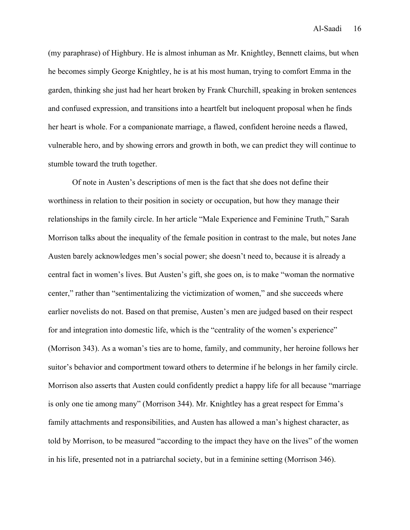(my paraphrase) of Highbury. He is almost inhuman as Mr. Knightley, Bennett claims, but when he becomes simply George Knightley, he is at his most human, trying to comfort Emma in the garden, thinking she just had her heart broken by Frank Churchill, speaking in broken sentences and confused expression, and transitions into a heartfelt but ineloquent proposal when he finds her heart is whole. For a companionate marriage, a flawed, confident heroine needs a flawed, vulnerable hero, and by showing errors and growth in both, we can predict they will continue to stumble toward the truth together.

Of note in Austen's descriptions of men is the fact that she does not define their worthiness in relation to their position in society or occupation, but how they manage their relationships in the family circle. In her article "Male Experience and Feminine Truth," Sarah Morrison talks about the inequality of the female position in contrast to the male, but notes Jane Austen barely acknowledges men's social power; she doesn't need to, because it is already a central fact in women's lives. But Austen's gift, she goes on, is to make "woman the normative center," rather than "sentimentalizing the victimization of women," and she succeeds where earlier novelists do not. Based on that premise, Austen's men are judged based on their respect for and integration into domestic life, which is the "centrality of the women's experience" (Morrison 343). As a woman's ties are to home, family, and community, her heroine follows her suitor's behavior and comportment toward others to determine if he belongs in her family circle. Morrison also asserts that Austen could confidently predict a happy life for all because "marriage is only one tie among many" (Morrison 344). Mr. Knightley has a great respect for Emma's family attachments and responsibilities, and Austen has allowed a man's highest character, as told by Morrison, to be measured "according to the impact they have on the lives" of the women in his life, presented not in a patriarchal society, but in a feminine setting (Morrison 346).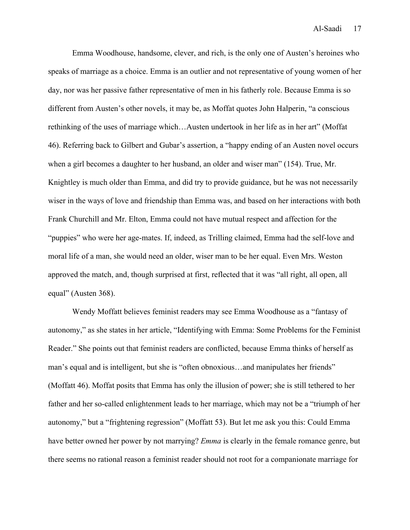Emma Woodhouse, handsome, clever, and rich, is the only one of Austen's heroines who speaks of marriage as a choice. Emma is an outlier and not representative of young women of her day, nor was her passive father representative of men in his fatherly role. Because Emma is so different from Austen's other novels, it may be, as Moffat quotes John Halperin, "a conscious rethinking of the uses of marriage which…Austen undertook in her life as in her art" (Moffat 46). Referring back to Gilbert and Gubar's assertion, a "happy ending of an Austen novel occurs when a girl becomes a daughter to her husband, an older and wiser man" (154). True, Mr. Knightley is much older than Emma, and did try to provide guidance, but he was not necessarily wiser in the ways of love and friendship than Emma was, and based on her interactions with both Frank Churchill and Mr. Elton, Emma could not have mutual respect and affection for the "puppies" who were her age-mates. If, indeed, as Trilling claimed, Emma had the self-love and moral life of a man, she would need an older, wiser man to be her equal. Even Mrs. Weston approved the match, and, though surprised at first, reflected that it was "all right, all open, all equal" (Austen 368).

Wendy Moffatt believes feminist readers may see Emma Woodhouse as a "fantasy of autonomy," as she states in her article, "Identifying with Emma: Some Problems for the Feminist Reader." She points out that feminist readers are conflicted, because Emma thinks of herself as man's equal and is intelligent, but she is "often obnoxious…and manipulates her friends" (Moffatt 46). Moffat posits that Emma has only the illusion of power; she is still tethered to her father and her so-called enlightenment leads to her marriage, which may not be a "triumph of her autonomy," but a "frightening regression" (Moffatt 53). But let me ask you this: Could Emma have better owned her power by not marrying? *Emma* is clearly in the female romance genre, but there seems no rational reason a feminist reader should not root for a companionate marriage for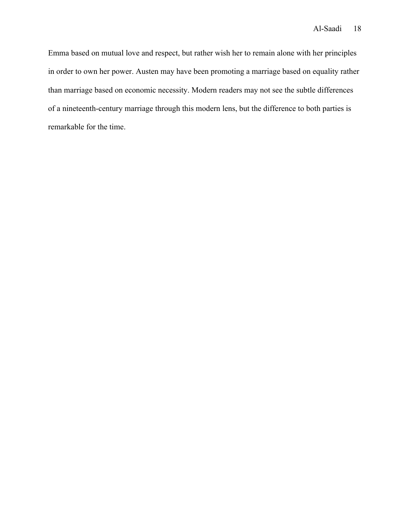Emma based on mutual love and respect, but rather wish her to remain alone with her principles in order to own her power. Austen may have been promoting a marriage based on equality rather than marriage based on economic necessity. Modern readers may not see the subtle differences of a nineteenth-century marriage through this modern lens, but the difference to both parties is remarkable for the time.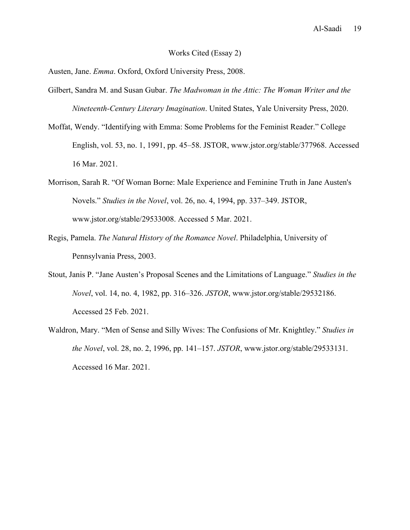## Works Cited (Essay 2)

Austen, Jane. *Emma*. Oxford, Oxford University Press, 2008.

- Gilbert, Sandra M. and Susan Gubar. *The Madwoman in the Attic: The Woman Writer and the Nineteenth-Century Literary Imagination*. United States, Yale University Press, 2020.
- Moffat, Wendy. "Identifying with Emma: Some Problems for the Feminist Reader." College English, vol. 53, no. 1, 1991, pp. 45–58. JSTOR, www.jstor.org/stable/377968. Accessed 16 Mar. 2021.
- Morrison, Sarah R. "Of Woman Borne: Male Experience and Feminine Truth in Jane Austen's Novels." *Studies in the Novel*, vol. 26, no. 4, 1994, pp. 337–349. JSTOR, www.jstor.org/stable/29533008. Accessed 5 Mar. 2021.
- Regis, Pamela. *The Natural History of the Romance Novel*. Philadelphia, University of Pennsylvania Press, 2003.
- Stout, Janis P. "Jane Austen's Proposal Scenes and the Limitations of Language." *Studies in the Novel*, vol. 14, no. 4, 1982, pp. 316–326. *JSTOR*, www.jstor.org/stable/29532186. Accessed 25 Feb. 2021.
- Waldron, Mary. "Men of Sense and Silly Wives: The Confusions of Mr. Knightley." *Studies in the Novel*, vol. 28, no. 2, 1996, pp. 141–157. *JSTOR*, www.jstor.org/stable/29533131. Accessed 16 Mar. 2021.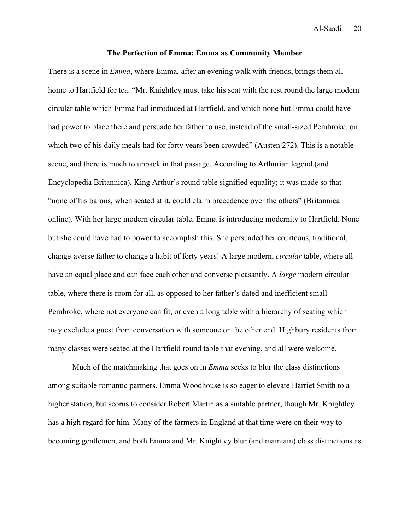#### **The Perfection of Emma: Emma as Community Member**

There is a scene in *Emma*, where Emma, after an evening walk with friends, brings them all home to Hartfield for tea. "Mr. Knightley must take his seat with the rest round the large modern circular table which Emma had introduced at Hartfield, and which none but Emma could have had power to place there and persuade her father to use, instead of the small-sized Pembroke, on which two of his daily meals had for forty years been crowded" (Austen 272). This is a notable scene, and there is much to unpack in that passage. According to Arthurian legend (and Encyclopedia Britannica), King Arthur's round table signified equality; it was made so that "none of his barons, when seated at it, could claim precedence over the others" (Britannica online). With her large modern circular table, Emma is introducing modernity to Hartfield. None but she could have had to power to accomplish this. She persuaded her courteous, traditional, change-averse father to change a habit of forty years! A large modern, *circular* table, where all have an equal place and can face each other and converse pleasantly. A *large* modern circular table, where there is room for all, as opposed to her father's dated and inefficient small Pembroke, where not everyone can fit, or even a long table with a hierarchy of seating which may exclude a guest from conversation with someone on the other end. Highbury residents from many classes were seated at the Hartfield round table that evening, and all were welcome.

Much of the matchmaking that goes on in *Emma* seeks to blur the class distinctions among suitable romantic partners. Emma Woodhouse is so eager to elevate Harriet Smith to a higher station, but scorns to consider Robert Martin as a suitable partner, though Mr. Knightley has a high regard for him. Many of the farmers in England at that time were on their way to becoming gentlemen, and both Emma and Mr. Knightley blur (and maintain) class distinctions as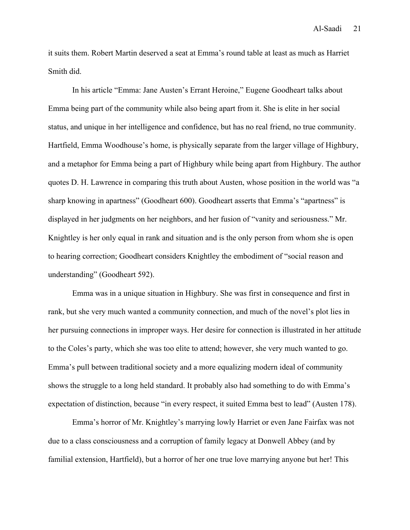it suits them. Robert Martin deserved a seat at Emma's round table at least as much as Harriet Smith did.

In his article "Emma: Jane Austen's Errant Heroine," Eugene Goodheart talks about Emma being part of the community while also being apart from it. She is elite in her social status, and unique in her intelligence and confidence, but has no real friend, no true community. Hartfield, Emma Woodhouse's home, is physically separate from the larger village of Highbury, and a metaphor for Emma being a part of Highbury while being apart from Highbury. The author quotes D. H. Lawrence in comparing this truth about Austen, whose position in the world was "a sharp knowing in apartness" (Goodheart 600). Goodheart asserts that Emma's "apartness" is displayed in her judgments on her neighbors, and her fusion of "vanity and seriousness." Mr. Knightley is her only equal in rank and situation and is the only person from whom she is open to hearing correction; Goodheart considers Knightley the embodiment of "social reason and understanding" (Goodheart 592).

Emma was in a unique situation in Highbury. She was first in consequence and first in rank, but she very much wanted a community connection, and much of the novel's plot lies in her pursuing connections in improper ways. Her desire for connection is illustrated in her attitude to the Coles's party, which she was too elite to attend; however, she very much wanted to go. Emma's pull between traditional society and a more equalizing modern ideal of community shows the struggle to a long held standard. It probably also had something to do with Emma's expectation of distinction, because "in every respect, it suited Emma best to lead" (Austen 178).

Emma's horror of Mr. Knightley's marrying lowly Harriet or even Jane Fairfax was not due to a class consciousness and a corruption of family legacy at Donwell Abbey (and by familial extension, Hartfield), but a horror of her one true love marrying anyone but her! This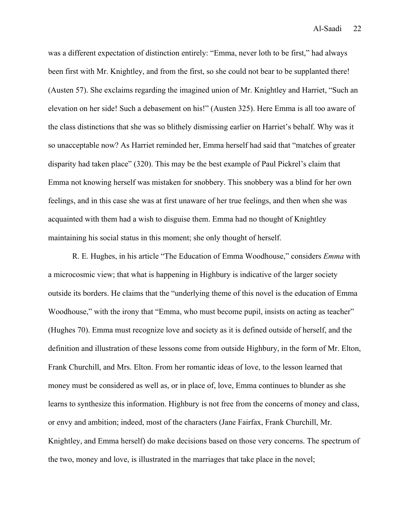was a different expectation of distinction entirely: "Emma, never loth to be first," had always been first with Mr. Knightley, and from the first, so she could not bear to be supplanted there! (Austen 57). She exclaims regarding the imagined union of Mr. Knightley and Harriet, "Such an elevation on her side! Such a debasement on his!" (Austen 325). Here Emma is all too aware of the class distinctions that she was so blithely dismissing earlier on Harriet's behalf. Why was it so unacceptable now? As Harriet reminded her, Emma herself had said that "matches of greater disparity had taken place" (320). This may be the best example of Paul Pickrel's claim that Emma not knowing herself was mistaken for snobbery. This snobbery was a blind for her own feelings, and in this case she was at first unaware of her true feelings, and then when she was acquainted with them had a wish to disguise them. Emma had no thought of Knightley maintaining his social status in this moment; she only thought of herself.

R. E. Hughes, in his article "The Education of Emma Woodhouse," considers *Emma* with a microcosmic view; that what is happening in Highbury is indicative of the larger society outside its borders. He claims that the "underlying theme of this novel is the education of Emma Woodhouse," with the irony that "Emma, who must become pupil, insists on acting as teacher" (Hughes 70). Emma must recognize love and society as it is defined outside of herself, and the definition and illustration of these lessons come from outside Highbury, in the form of Mr. Elton, Frank Churchill, and Mrs. Elton. From her romantic ideas of love, to the lesson learned that money must be considered as well as, or in place of, love, Emma continues to blunder as she learns to synthesize this information. Highbury is not free from the concerns of money and class, or envy and ambition; indeed, most of the characters (Jane Fairfax, Frank Churchill, Mr. Knightley, and Emma herself) do make decisions based on those very concerns. The spectrum of the two, money and love, is illustrated in the marriages that take place in the novel;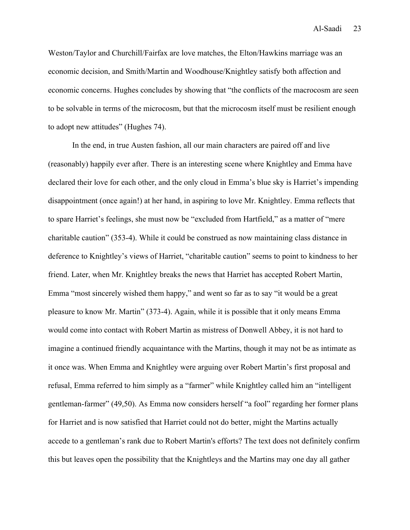Weston/Taylor and Churchill/Fairfax are love matches, the Elton/Hawkins marriage was an economic decision, and Smith/Martin and Woodhouse/Knightley satisfy both affection and economic concerns. Hughes concludes by showing that "the conflicts of the macrocosm are seen to be solvable in terms of the microcosm, but that the microcosm itself must be resilient enough to adopt new attitudes" (Hughes 74).

In the end, in true Austen fashion, all our main characters are paired off and live (reasonably) happily ever after. There is an interesting scene where Knightley and Emma have declared their love for each other, and the only cloud in Emma's blue sky is Harriet's impending disappointment (once again!) at her hand, in aspiring to love Mr. Knightley. Emma reflects that to spare Harriet's feelings, she must now be "excluded from Hartfield," as a matter of "mere charitable caution" (353-4). While it could be construed as now maintaining class distance in deference to Knightley's views of Harriet, "charitable caution" seems to point to kindness to her friend. Later, when Mr. Knightley breaks the news that Harriet has accepted Robert Martin, Emma "most sincerely wished them happy," and went so far as to say "it would be a great pleasure to know Mr. Martin" (373-4). Again, while it is possible that it only means Emma would come into contact with Robert Martin as mistress of Donwell Abbey, it is not hard to imagine a continued friendly acquaintance with the Martins, though it may not be as intimate as it once was. When Emma and Knightley were arguing over Robert Martin's first proposal and refusal, Emma referred to him simply as a "farmer" while Knightley called him an "intelligent gentleman-farmer" (49,50). As Emma now considers herself "a fool" regarding her former plans for Harriet and is now satisfied that Harriet could not do better, might the Martins actually accede to a gentleman's rank due to Robert Martin's efforts? The text does not definitely confirm this but leaves open the possibility that the Knightleys and the Martins may one day all gather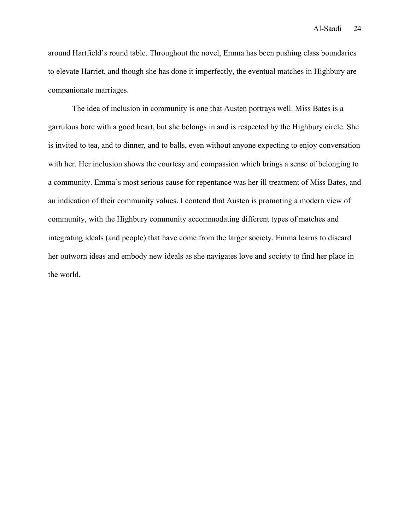around Hartfield's round table. Throughout the novel, Emma has been pushing class boundaries to elevate Harriet, and though she has done it imperfectly, the eventual matches in Highbury are companionate marriages.

The idea of inclusion in community is one that Austen portrays well. Miss Bates is a garrulous bore with a good heart, but she belongs in and is respected by the Highbury circle. She is invited to tea, and to dinner, and to balls, even without anyone expecting to enjoy conversation with her. Her inclusion shows the courtesy and compassion which brings a sense of belonging to a community. Emma's most serious cause for repentance was her ill treatment of Miss Bates, and an indication of their community values. I contend that Austen is promoting a modern view of community, with the Highbury community accommodating different types of matches and integrating ideals (and people) that have come from the larger society. Emma learns to discard her outworn ideas and embody new ideals as she navigates love and society to find her place in the world.